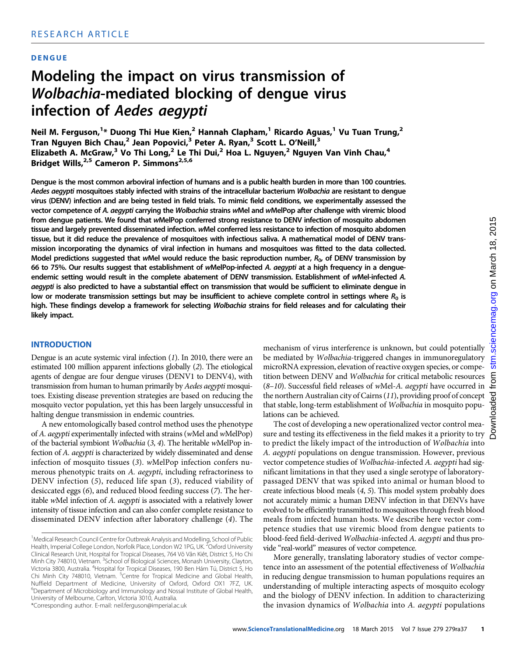## DENGUE

# Modeling the impact on virus transmission of Wolbachia-mediated blocking of dengue virus infection of Aedes aegypti

Neil M. Ferguson, $^{1*}$  Duong Thi Hue Kien, $^{2}$  Hannah Clapham, $^{1}$  Ricardo Aguas, $^{1}$  Vu Tuan Trung, $^{2}$ Tran Nguyen Bich Chau,<sup>2</sup> Jean Popovici,<sup>3</sup> Peter A. Ryan,<sup>3</sup> Scott L. O'Neill,<sup>3</sup> Elizabeth A. McGraw,<sup>3</sup> Vo Thi Long,<sup>2</sup> Le Thi Dui,<sup>2</sup> Hoa L. Nguyen,<sup>2</sup> Nguyen Van Vinh Chau,<sup>4</sup> Bridget Wills,<sup>2,5</sup> Cameron P. Simmons<sup>2,5,6</sup>

Dengue is the most common arboviral infection of humans and is a public health burden in more than 100 countries. Aedes aegypti mosquitoes stably infected with strains of the intracellular bacterium Wolbachia are resistant to dengue virus (DENV) infection and are being tested in field trials. To mimic field conditions, we experimentally assessed the vector competence of A. aegypti carrying the Wolbachia strains wMel and wMelPop after challenge with viremic blood from dengue patients. We found that wMelPop conferred strong resistance to DENV infection of mosquito abdomen tissue and largely prevented disseminated infection. wMel conferred less resistance to infection of mosquito abdomen tissue, but it did reduce the prevalence of mosquitoes with infectious saliva. A mathematical model of DENV transmission incorporating the dynamics of viral infection in humans and mosquitoes was fitted to the data collected. Model predictions suggested that wMel would reduce the basic reproduction number,  $R_{0}$ , of DENV transmission by 66 to 75%. Our results suggest that establishment of wMelPop-infected A. aegypti at a high frequency in a dengueendemic setting would result in the complete abatement of DENV transmission. Establishment of wMel-infected A. aegypti is also predicted to have a substantial effect on transmission that would be sufficient to eliminate dengue in low or moderate transmission settings but may be insufficient to achieve complete control in settings where  $R_0$  is high. These findings develop a framework for selecting Wolbachia strains for field releases and for calculating their likely impact.

### INTRODUCTION

Dengue is an acute systemic viral infection (1). In 2010, there were an estimated 100 million apparent infections globally (2). The etiological agents of dengue are four dengue viruses (DENV1 to DENV4), with transmission from human to human primarily by Aedes aegypti mosquitoes. Existing disease prevention strategies are based on reducing the mosquito vector population, yet this has been largely unsuccessful in halting dengue transmission in endemic countries.

A new entomologically based control method uses the phenotype of A. aegypti experimentally infected with strains (wMel and wMelPop) of the bacterial symbiont Wolbachia (3, 4). The heritable wMelPop infection of A. aegypti is characterized by widely disseminated and dense infection of mosquito tissues (3). wMelPop infection confers numerous phenotypic traits on A. aegypti, including refractoriness to DENV infection (5), reduced life span (3), reduced viability of desiccated eggs (6), and reduced blood feeding success (7). The heritable wMel infection of A. aegypti is associated with a relatively lower intensity of tissue infection and can also confer complete resistance to disseminated DENV infection after laboratory challenge (4). The

\*Corresponding author. E-mail: neil.ferguson@imperial.ac.uk

mechanism of virus interference is unknown, but could potentially be mediated by Wolbachia-triggered changes in immunoregulatory microRNA expression, elevation of reactive oxygen species, or competition between DENV and Wolbachia for critical metabolic resources (8-10). Successful field releases of wMel-A. aegypti have occurred in the northern Australian city of Cairns (11), providing proof of concept that stable, long-term establishment of Wolbachia in mosquito populations can be achieved.

The cost of developing a new operationalized vector control measure and testing its effectiveness in the field makes it a priority to try to predict the likely impact of the introduction of W*olbachia* into A. aegypti populations on dengue transmission. However, previous vector competence studies of Wolbachia-infected A. aegypti had significant limitations in that they used a single serotype of laboratorypassaged DENV that was spiked into animal or human blood to create infectious blood meals (4, 5). This model system probably does not accurately mimic a human DENV infection in that DENVs have evolved to be efficiently transmitted to mosquitoes through fresh blood meals from infected human hosts. We describe here vector competence studies that use viremic blood from dengue patients to blood-feed field-derived Wolbachia-infected A. aegypti and thus provide "real-world" measures of vector competence.

More generally, translating laboratory studies of vector competence into an assessment of the potential effectiveness of Wolbachia in reducing dengue transmission to human populations requires an understanding of multiple interacting aspects of mosquito ecology and the biology of DENV infection. In addition to characterizing the invasion dynamics of Wolbachia into A. aegypti populations

ပ

<sup>&</sup>lt;sup>1</sup> Medical Research Council Centre for Outbreak Analysis and Modelling, School of Public Health, Imperial College London, Norfolk Place, London W2 1PG, UK. <sup>2</sup>Oxford University Clinical Research Unit, Hospital for Tropical Diseases, 764 Võ Vǎn Kiêt, District 5, Ho Chi Minh City 748010, Vietnam. <sup>3</sup>School of Biological Sciences, Monash University, Clayton, Victoria 3800, Australia. <sup>4</sup> Hospital for Tropical Diseases, 190 Ben Hám Tú, District 5, Ho Chi Minh City 748010, Vietnam. <sup>5</sup>Centre for Tropical Medicine and Global Health, Nuffield Department of Medicine, University of Oxford, Oxford OX1 7FZ, UK. <sup>6</sup>Department of Microbiology and Immunology and Nossal Institute of Global Health, University of Melbourne, Carlton, Victoria 3010, Australia.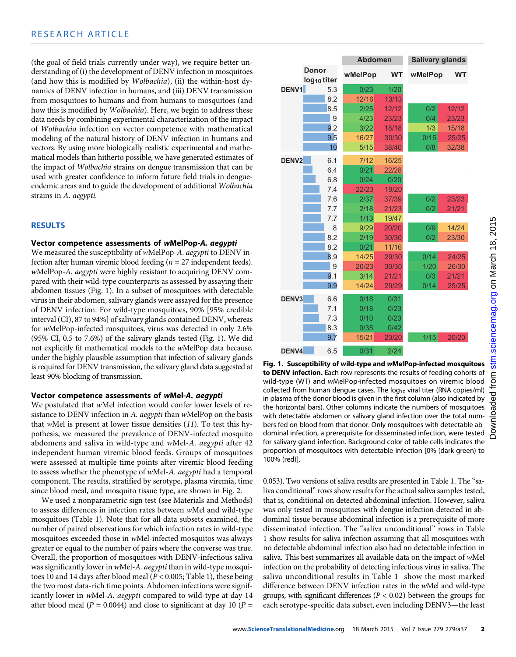(the goal of field trials currently under way), we require better understanding of (i) the development of DENV infection in mosquitoes (and how this is modified by Wolbachia), (ii) the within-host dynamics of DENV infection in humans, and (iii) DENV transmission from mosquitoes to humans and from humans to mosquitoes (and how this is modified by Wolbachia). Here, we begin to address these data needs by combining experimental characterization of the impact of Wolbachia infection on vector competence with mathematical modeling of the natural history of DENV infection in humans and vectors. By using more biologically realistic experimental and mathematical models than hitherto possible, we have generated estimates of the impact of Wolbachia strains on dengue transmission that can be used with greater confidence to inform future field trials in dengueendemic areas and to guide the development of additional Wolbachia strains in A. aegypti.

## RESULTS

## Vector competence assessments of wMelPop-A. aegypti

We measured the susceptibility of wMelPop-A. aegypti to DENV infection after human viremic blood feeding ( $n = 27$  independent feeds). wMelPop-A. aegypti were highly resistant to acquiring DENV compared with their wild-type counterparts as assessed by assaying their abdomen tissues (Fig. 1). In a subset of mosquitoes with detectable virus in their abdomen, salivary glands were assayed for the presence of DENV infection. For wild-type mosquitoes, 90% [95% credible interval (CI), 87 to 94%] of salivary glands contained DENV, whereas for wMelPop-infected mosquitoes, virus was detected in only 2.6% (95% CI, 0.5 to 7.6%) of the salivary glands tested (Fig. 1). We did not explicitly fit mathematical models to the wMelPop data because, under the highly plausible assumption that infection of salivary glands is required for DENV transmission, the salivary gland data suggested at least 90% blocking of transmission.

# Vector competence assessments of wMel-A. aegypti

We postulated that wMel infection would confer lower levels of resistance to DENV infection in A. aegypti than wMelPop on the basis that wMel is present at lower tissue densities  $(11)$ . To test this hypothesis, we measured the prevalence of DENV-infected mosquito abdomens and saliva in wild-type and wMel-A. aegypti after 42 independent human viremic blood feeds. Groups of mosquitoes were assessed at multiple time points after viremic blood feeding to assess whether the phenotype of wMel-A. aegypti had a temporal component. The results, stratified by serotype, plasma viremia, time since blood meal, and mosquito tissue type, are shown in Fig. 2.

We used a nonparametric sign test (see Materials and Methods) to assess differences in infection rates between wMel and wild-type mosquitoes (Table 1). Note that for all data subsets examined, the number of paired observations for which infection rates in wild-type mosquitoes exceeded those in wMel-infected mosquitos was always greater or equal to the number of pairs where the converse was true. Overall, the proportion of mosquitoes with DENV-infectious saliva was significantly lower in wMel-A. aegypti than in wild-type mosquitoes 10 and 14 days after blood meal ( $P < 0.005$ ; Table 1), these being the two most data-rich time points. Abdomen infections were significantly lower in wMel-A. aegypti compared to wild-type at day 14 after blood meal ( $P = 0.0044$ ) and close to significant at day 10 ( $P =$ 

|                   |                                  | <b>Abdomen</b> |           | <b>Salivary glands</b> |           |  |  |  |
|-------------------|----------------------------------|----------------|-----------|------------------------|-----------|--|--|--|
|                   | Donor<br>log <sub>10</sub> titer | wMelPop        | <b>WT</b> | wMelPop                | <b>WT</b> |  |  |  |
| DENV1             | 5.3                              | 0/23           | 1/20      |                        |           |  |  |  |
|                   | 8.2                              | 12/16          | 13/13     |                        |           |  |  |  |
|                   | 8.5                              | 2/25           | 12/12     | 0/2                    | 12/12     |  |  |  |
|                   | 9                                | 4/23           | 23/23     | 0/4                    | 23/23     |  |  |  |
|                   | 9.2                              | 3/22           | 18/18     | 1/3                    | 15/18     |  |  |  |
|                   | 9.5                              | 16/27          | 30/30     | 0/15                   | 25/25     |  |  |  |
|                   | 10                               | 5/15           | 38/40     | 0/8                    | 32/38     |  |  |  |
| DENV <sub>2</sub> | 6.1                              | 7/12           | 16/25     |                        |           |  |  |  |
|                   | 6.4                              | 0/21           | 22/28     |                        |           |  |  |  |
|                   | 6.8                              | 0/24           | 0/20      |                        |           |  |  |  |
|                   | 7.4                              | 22/23          | 19/20     |                        |           |  |  |  |
|                   | 7.6                              | 2/37           | 37/39     | 0/2                    | 23/23     |  |  |  |
|                   | 7.7                              | 2/18           | 21/23     | 0/2                    | 21/21     |  |  |  |
|                   | 7.7                              | 1/13           | 19/47     |                        |           |  |  |  |
|                   | 8                                | 9/29           | 20/20     | 0/9                    | 14/24     |  |  |  |
|                   | 8.2                              | 2/19           | 30/30     | 0/2                    | 23/30     |  |  |  |
|                   | 8.2                              | 0/21           | 11/16     |                        |           |  |  |  |
|                   | 8.9                              | 14/25          | 29/30     | 0/14                   | 24/25     |  |  |  |
|                   | 9                                | 20/23          | 30/30     | 1/20                   | 26/30     |  |  |  |
|                   | 9.1                              | 3/14           | 21/21     | 0/3                    | 21/21     |  |  |  |
|                   | 9.9                              | 14/24          | 29/29     | 0/14                   | 25/25     |  |  |  |
| DENV <sub>3</sub> | 6.6                              | 0/18           | 0/31      |                        |           |  |  |  |
|                   | 7.1                              | 0/18           | 0/23      |                        |           |  |  |  |
|                   | 7.3                              | 0/10           | 0/23      |                        |           |  |  |  |
|                   | 8.3                              | 0/35           | 0/42      |                        |           |  |  |  |
|                   | 9.7                              | 15/21          | 20/20     | 1/15                   | 20/20     |  |  |  |
| DENV4             | 6.5                              | 0/31           | 2/24      |                        |           |  |  |  |

Fig. 1. Susceptibility of wild-type and wMelPop-infected mosquitoes to DENV infection. Each row represents the results of feeding cohorts of wild-type (WT) and wMelPop-infected mosquitoes on viremic blood collected from human dengue cases. The  $log_{10}$  viral titer (RNA copies/ml) in plasma of the donor blood is given in the first column (also indicated by the horizontal bars). Other columns indicate the numbers of mosquitoes with detectable abdomen or salivary gland infection over the total numbers fed on blood from that donor. Only mosquitoes with detectable abdominal infection, a prerequisite for disseminated infection, were tested for salivary gland infection. Background color of table cells indicates the proportion of mosquitoes with detectable infection [0% (dark green) to 100% (red)].

0.053). Two versions of saliva results are presented in Table 1. The "saliva conditional" rows show results for the actual saliva samples tested, that is, conditional on detected abdominal infection. However, saliva was only tested in mosquitoes with dengue infection detected in abdominal tissue because abdominal infection is a prerequisite of more disseminated infection. The "saliva unconditional" rows in Table 1 show results for saliva infection assuming that all mosquitoes with no detectable abdominal infection also had no detectable infection in saliva. This best summarizes all available data on the impact of wMel infection on the probability of detecting infectious virus in saliva. The saliva unconditional results in Table 1 show the most marked difference between DENV infection rates in the wMel and wild-type groups, with significant differences ( $P < 0.02$ ) between the groups for each serotype-specific data subset, even including DENV3—the least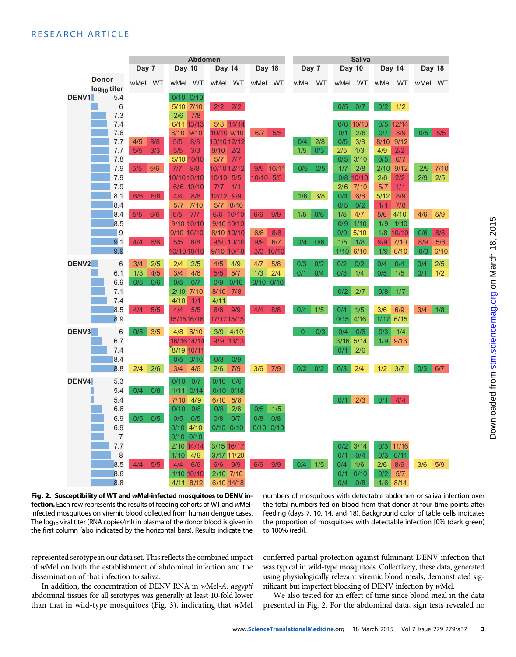|                   |                         | <b>Abdomen</b> |     |                    | <b>Saliva</b>    |                  |           |       |                 |     |            |             |            |             |     |         |
|-------------------|-------------------------|----------------|-----|--------------------|------------------|------------------|-----------|-------|-----------------|-----|------------|-------------|------------|-------------|-----|---------|
|                   |                         | Day 7          |     | Day 10             |                  | Day 14<br>Day 18 |           |       | Day 7<br>Day 10 |     |            | Day 14      |            | Day 18      |     |         |
|                   | <b>Donor</b>            | wMel WT        |     | wMel WT            | wMel WT          |                  | wMel WT   |       | wMel WT         |     | wMel WT    |             | wMel WT    |             |     | wMel WT |
|                   | log <sub>10</sub> titer |                |     |                    |                  |                  |           |       |                 |     |            |             |            |             |     |         |
| <b>DENV1</b>      | 5.4                     |                |     | $0/10$ $0/10$      |                  |                  |           |       |                 |     |            |             |            |             |     |         |
|                   | 6                       |                |     | 5/10 7/10<br>7/8   | 2/2              | 2/2              |           |       |                 |     | 0/5        | 0/7         | 0/2        | 1/2         |     |         |
|                   | 7.3<br>7.4              |                |     | 2/6<br>6/11 13/13  |                  | 5/8 14/14        |           |       |                 |     | 0/6        | 10/13       |            | $0/5$ 12/14 |     |         |
|                   | 7.6                     |                |     | 8/10<br>9/10       | 10/10 9/10       |                  | 6/7       | 5/5   |                 |     | 0/1        | 2/8         | 0/7        | 8/9         | 0/5 | 5/5     |
|                   | 7.7                     | 4/5            | 8/8 | 5/5<br>8/8         | 10/10 12/12      |                  |           |       | 0/4             | 2/8 | 0/5        | 3/8         | 8/10       | 9/12        |     |         |
|                   | 7.7                     | 5/5            | 3/3 | 5/5<br>3/3         | 9/10             | 2/2              |           |       | 1/5             | 0/3 | 2/5        | 1/3         | 4/9        | 2/2         |     |         |
|                   | 7.8                     |                |     | 5/10 10/10         | 5/7              | 7/7              |           |       |                 |     | 0/5        | 3/10        | 0/5        | 6/7         |     |         |
|                   | 7.9                     | 5/5            | 5/6 | 7/7<br>8/8         | 10/10 12/12      |                  | 9/9 10/11 |       | 0/5             | 0/5 | 1/7        | 2/8         | 2/10       | 9/12        | 2/9 | 7/10    |
|                   | 7.9                     |                |     | 10/10 10/10        | 10/10            | 5/5              | 10/10 5/5 |       |                 |     |            | 0/8 10/10   | 2/6        | 2/2         | 2/9 | 2/5     |
|                   | 7.9                     |                |     | 6/6 10/10          | 7/7              | 1/1              |           |       |                 |     | 2/6        | 7/10        | 5/7        | 1/1         |     |         |
|                   | 8.1                     | 6/6            | 8/8 | 4/4<br>8/8         | 12/12 9/9        |                  |           |       | 1/6             | 3/8 | 0/4        | 6/8         | 5/12       | 8/9         |     |         |
|                   | 8.4                     |                |     | 7/10<br>5/7        | 5/7 8/10         |                  |           |       |                 |     | 0/5        | 0/2         | 1/1        | 7/8         |     |         |
|                   | 8.4                     | 5/5            | 6/6 | 7/7<br>5/5         | 6/6 10/10        |                  | 6/6       | 9/9   | 1/5             | 0/6 | 1/5        | 4/7         | 5/6        | 4/10        | 4/6 | 5/9     |
|                   | 8.5                     |                |     | 9/10 10/10         | 9/10 10/10       |                  |           |       |                 |     | 0/9        | 1/10        | 1/9        | 1/10        |     |         |
|                   | 9                       |                |     | 9/10 10/10         | 8/10 10/10       |                  | 6/8       | 8/8   |                 |     | 0/9        | $5/10$      |            | 1/8 10/10   | 0/6 | 8/8     |
|                   | 9.1                     | 4/4            | 6/6 | 5/5<br>8/8         | 9/9 10/10        |                  | 9/9       | 6/7   | 0/4             | 0/6 | 1/5        | 1/8         | 9/9        | 7/10        | 8/9 | 5/6     |
|                   | 9.9                     |                |     | 10/10 10/10        | 9/10 10/10       |                  | 3/3       | 10/10 |                 |     | 1/10 6/10  |             | 1/9        | 6/10        | 0/3 | 6/10    |
| DENV <sub>2</sub> | 6                       | 3/4            | 2/5 | 2/4<br>2/5         | 4/5              | 4/9              | 4/7       | 5/8   | 0/3             | 0/2 | 0/2        | 0/2         | 0/4        | 0/4         | 0/4 | 2/5     |
|                   | 6.1                     | 1/3            | 4/5 | 4/6<br>3/4         | 5/5              | 5/7              | 1/3       | 2/4   | 0/1             | 0/4 | 0/3        | 1/4         | 0/5        | 1/5         | 0/1 | 1/2     |
|                   | 6.9                     | 0/5            | 0/6 | 0/5<br>0/7         | 0/9              | 0/10             | 0/10      | 0/10  |                 |     |            |             |            |             |     |         |
|                   | 7.1                     |                |     | $2/10$ $7/10$      | 8/10             | 7/8              |           |       |                 |     | 0/2        | 2/7         | 0/8        | 1/7         |     |         |
|                   | 7.4                     |                |     | 4/10<br>1/1        | 4/11             |                  |           |       |                 |     |            |             |            |             |     |         |
|                   | 8.5                     | 4/4            | 5/5 | 4/4<br>5/5         | 6/6              | 9/9              | 4/4       | 8/8   | 0/4             | 1/5 | 0/4        | 1/5         | 3/6        | 6/9         | 3/4 | 1/8     |
|                   | 8.9                     |                |     | 15/1516/16         | 17/17 15/15      |                  |           |       |                 |     | 0/15       | 4/16        | 1/17       | 6/15        |     |         |
| DENV <sub>3</sub> | 6                       | 0/5            | 3/5 | 4/8<br>6/10        | 3/9              | 4/10             |           |       | $\overline{0}$  | 0/3 | 0/4        | 0/6         | 0/3        | 1/4         |     |         |
|                   | 6.7                     |                |     | 16/16 14/14        | 9/9 13/13        |                  |           |       |                 |     | 3/16       | 5/14        | 1/9        | 9/13        |     |         |
|                   | 7.4                     |                |     | 8/19 10/11         |                  |                  |           |       |                 |     | 0/1        | 2/6         |            |             |     |         |
|                   | 8.4                     |                |     | 0/10<br>0/5        | 0/3              | 0/9              |           |       |                 |     |            |             |            |             |     |         |
|                   | 8.8                     | 2/4            | 2/6 | 3/4<br>4/6         | 2/6              | 7/9              | 3/6       | 7/9   | 0/2             | 0/2 | 0/3        | 2/4         | 1/2        | 3/7         | 0/3 | 6/7     |
| DENV4             | 5.3                     |                |     | 0/7<br>0/10        | 0/10             | 0/6              |           |       |                 |     |            |             |            |             |     |         |
|                   | 5.4                     | 0/4            | 0/8 | 0/14<br>1/11       | $0/10$ $0/18$    |                  |           |       |                 |     |            |             |            |             |     |         |
|                   | 5.4                     |                |     | 4/9<br>7/10        | 6/10             | 5/8              |           |       |                 |     | 0/1        | 2/3         | $0/1$ 4/4  |             |     |         |
|                   | 6.6                     |                |     | 0/10<br>0/8        | 0/8              | 2/8              | 0/5       | 1/5   |                 |     |            |             |            |             |     |         |
|                   | 6.9                     | 0/5            | 0/5 | 0/5<br>0/5         | 0/8              | 0/7              | 0/8       | 0/8   |                 |     |            |             |            |             |     |         |
|                   | 6.9                     |                |     | 0/10 4/10          | $0/10$ $0/10$    |                  | 0/10 0/10 |       |                 |     |            |             |            |             |     |         |
|                   | $\overline{7}$          |                |     | $0/10$ $0/10$      |                  |                  |           |       |                 |     |            |             |            |             |     |         |
|                   | 7.7                     |                |     | 2/10 14/14         | 3/15 16/17       |                  |           |       |                 |     | 0/2        | $3/14$      |            | 0/3 11/16   |     |         |
|                   | 8                       | 4/4            |     | 1/10<br>4/9<br>4/4 | 3/17 11/20       |                  |           |       |                 |     | 0/1        | 0/4         | 0/3        | 0/11        |     |         |
|                   | 8.5<br>8.6              |                | 5/5 | 6/6<br>1/10 10/10  | 6/6<br>2/10 7/10 | 9/9              | 6/6       | 9/9   | $0/4$ 1/5       |     | 0/4<br>0/1 | 1/6<br>0/10 | 2/6<br>0/2 | 8/9<br>5/7  | 3/6 | 5/9     |
|                   | 8.8                     |                |     | 4/11 8/12          | 6/10 14/18       |                  |           |       |                 |     | 0/4        | 0/8         | 1/6        | 8/14        |     |         |
|                   |                         |                |     |                    |                  |                  |           |       |                 |     |            |             |            |             |     |         |

Fig. 2. Susceptibility of WT and wMel-infected mosquitoes to DENV infection. Each row represents the results of feeding cohorts of WT and wMelinfected mosquitoes on viremic blood collected from human dengue cases. The  $log_{10}$  viral titer (RNA copies/ml) in plasma of the donor blood is given in the first column (also indicated by the horizontal bars). Results indicate the

represented serotype in our data set. This reflects the combined impact of wMel on both the establishment of abdominal infection and the dissemination of that infection to saliva.

In addition, the concentration of DENV RNA in wMel-A. aegypti abdominal tissues for all serotypes was generally at least 10-fold lower than that in wild-type mosquitoes (Fig. 3), indicating that wMel numbers of mosquitoes with detectable abdomen or saliva infection over the total numbers fed on blood from that donor at four time points after feeding (days 7, 10, 14, and 18). Background color of table cells indicates the proportion of mosquitoes with detectable infection [0% (dark green) to 100% (red)].

conferred partial protection against fulminant DENV infection that was typical in wild-type mosquitoes. Collectively, these data, generated using physiologically relevant viremic blood meals, demonstrated significant but imperfect blocking of DENV infection by wMel.

We also tested for an effect of time since blood meal in the data presented in Fig. 2. For the abdominal data, sign tests revealed no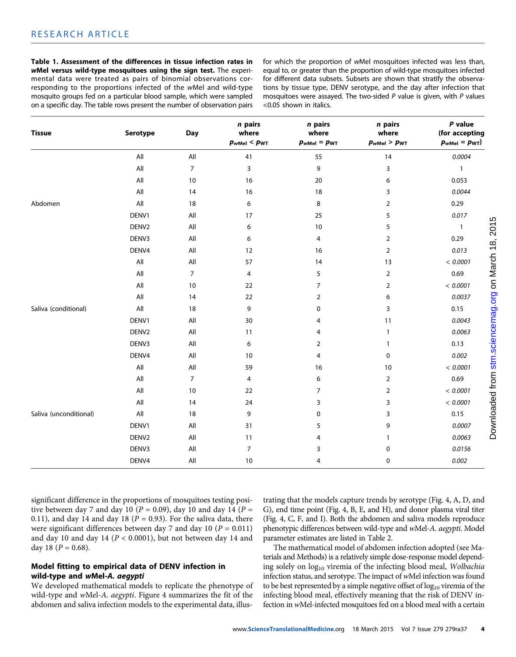Table 1. Assessment of the differences in tissue infection rates in wMel versus wild-type mosquitoes using the sign test. The experimental data were treated as pairs of binomial observations corresponding to the proportions infected of the wMel and wild-type mosquito groups fed on a particular blood sample, which were sampled on a specific day. The table rows present the number of observation pairs

for which the proportion of wMel mosquitoes infected was less than, equal to, or greater than the proportion of wild-type mosquitoes infected for different data subsets. Subsets are shown that stratify the observations by tissue type, DENV serotype, and the day after infection that mosquitoes were assayed. The two-sided  $P$  value is given, with  $P$  values <0.05 shown in italics.

| <b>Tissue</b>          | Serotype          | <b>Day</b>     | n pairs<br>where<br>$p_{\text{wMel}}$ < $p_{\text{WT}}$ | n pairs<br>where<br>$p_{wMel} = p_{WT}$ | n pairs<br>where<br>$p_{wMel}$ > $p_{WT}$ | P value<br>(for accepting<br>$p_{\text{wMel}} = p_{\text{WT}}$ |
|------------------------|-------------------|----------------|---------------------------------------------------------|-----------------------------------------|-------------------------------------------|----------------------------------------------------------------|
|                        | All               | All            | 41                                                      | 55                                      | 14                                        | 0.0004                                                         |
|                        | All               | $\overline{7}$ | 3                                                       | 9                                       | 3                                         | $\mathbf{1}$                                                   |
|                        | All               | 10             | 16                                                      | 20                                      | 6                                         | 0.053                                                          |
|                        | All               | 14             | 16                                                      | 18                                      | 3                                         | 0.0044                                                         |
| Abdomen                | All               | 18             | 6                                                       | 8                                       | $\overline{2}$                            | 0.29                                                           |
|                        | DENV1             | All            | 17                                                      | 25                                      | 5                                         | 0.017                                                          |
|                        | DENV2             | All            | 6                                                       | 10                                      | $\sqrt{5}$                                | $\mathbf{1}$                                                   |
|                        | DENV3             | All            | 6                                                       | 4                                       | $\overline{2}$                            | 0.29                                                           |
|                        | DENV4             | All            | 12                                                      | 16                                      | $\overline{2}$                            | 0.013                                                          |
|                        | All               | All            | 57                                                      | 14                                      | 13                                        | < 0.0001                                                       |
|                        | All               | $\overline{7}$ | 4                                                       | 5                                       | $\overline{2}$                            | 0.69                                                           |
|                        | All               | 10             | 22                                                      | $\overline{7}$                          | $\overline{2}$                            | < 0.0001                                                       |
|                        | All               | 14             | 22                                                      | $\overline{2}$                          | 6                                         | 0.0037                                                         |
| Saliva (conditional)   | All               | 18             | 9                                                       | 0                                       | 3                                         | 0.15                                                           |
|                        | DENV1             | All            | 30                                                      | 4                                       | 11                                        | 0.0043                                                         |
|                        | DENV <sub>2</sub> | All            | 11                                                      | $\overline{4}$                          | $\mathbf{1}$                              | 0.0063                                                         |
|                        | DENV3             | All            | 6                                                       | $\overline{2}$                          | $\mathbf{1}$                              | 0.13                                                           |
|                        | DENV4             | All            | 10                                                      | $\overline{4}$                          | $\mathbf 0$                               | 0.002                                                          |
|                        | $\mathsf{All}$    | All            | 59                                                      | 16                                      | 10                                        | < 0.0001                                                       |
|                        | All               | $\overline{7}$ | $\overline{4}$                                          | 6                                       | $\overline{2}$                            | 0.69                                                           |
|                        | All               | 10             | 22                                                      | $\overline{7}$                          | $\overline{2}$                            | < 0.0001                                                       |
|                        | All               | 14             | 24                                                      | 3                                       | 3                                         | < 0.0001                                                       |
| Saliva (unconditional) | All               | 18             | 9                                                       | 0                                       | 3                                         | 0.15                                                           |
|                        | DENV1             | All            | 31                                                      | 5                                       | 9                                         | 0.0007                                                         |
|                        | DENV <sub>2</sub> | All            | 11                                                      | $\overline{4}$                          | $\mathbf{1}$                              | 0.0063                                                         |
|                        | DENV3             | All            | $\overline{7}$                                          | 3                                       | 0                                         | 0.0156                                                         |
|                        | DENV4             | All            | 10                                                      | $\overline{4}$                          | $\mathbf 0$                               | 0.002                                                          |
|                        |                   |                |                                                         |                                         |                                           |                                                                |

significant difference in the proportions of mosquitoes testing positive between day 7 and day 10 ( $P = 0.09$ ), day 10 and day 14 ( $P =$ 0.11), and day 14 and day 18 ( $P = 0.93$ ). For the saliva data, there were significant differences between day 7 and day 10 ( $P = 0.011$ ) and day 10 and day 14 ( $P < 0.0001$ ), but not between day 14 and day 18 ( $P = 0.68$ ).

## Model fitting to empirical data of DENV infection in wild-type and wMel-A. aegypti

We developed mathematical models to replicate the phenotype of wild-type and wMel-A. aegypti. Figure 4 summarizes the fit of the abdomen and saliva infection models to the experimental data, illus-

trating that the models capture trends by serotype (Fig. 4, A, D, and G), end time point (Fig. 4, B, E, and H), and donor plasma viral titer (Fig. 4, C, F, and I). Both the abdomen and saliva models reproduce phenotypic differences between wild-type and wMel-A. aegypti. Model parameter estimates are listed in Table 2.

The mathematical model of abdomen infection adopted (see Materials and Methods) is a relatively simple dose-response model depending solely on  $log_{10}$  viremia of the infecting blood meal, Wolbachia infection status, and serotype. The impact of wMel infection was found to be best represented by a simple negative offset of  $log_{10}$  viremia of the infecting blood meal, effectively meaning that the risk of DENV infection in wMel-infected mosquitoes fed on a blood meal with a certain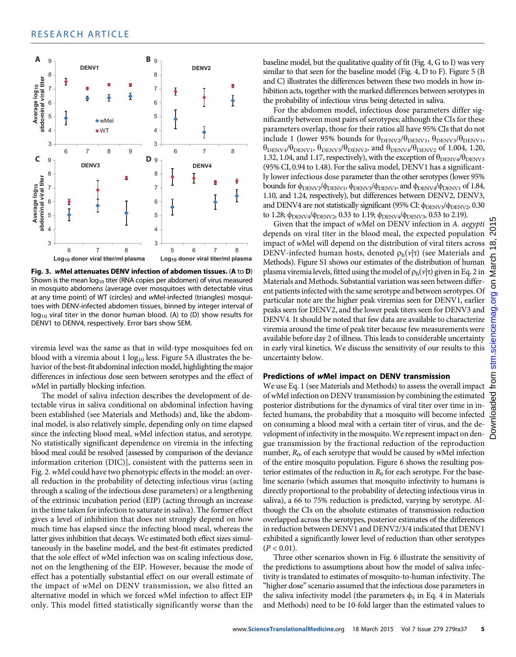

Fig. 3. wMel attenuates DENV infection of abdomen tissues. (<sup>A</sup> to <sup>D</sup>) Shown is the mean  $log_{10}$  titer (RNA copies per abdomen) of virus measured in mosquito abdomens (average over mosquitoes with detectable virus at any time point) of WT (circles) and wMel-infected (triangles) mosquitoes with DENV-infected abdomen tissues, binned by integer interval of  $log_{10}$  viral titer in the donor human blood. (A) to (D) show results for DENV1 to DENV4, respectively. Error bars show SEM.

viremia level was the same as that in wild-type mosquitoes fed on blood with a viremia about 1  $log_{10}$  less. Figure 5A illustrates the behavior of the best-fit abdominal infection model, highlighting the major differences in infectious dose seen between serotypes and the effect of wMel in partially blocking infection.

The model of saliva infection describes the development of detectable virus in saliva conditional on abdominal infection having been established (see Materials and Methods) and, like the abdominal model, is also relatively simple, depending only on time elapsed since the infecting blood meal, wMel infection status, and serotype. No statistically significant dependence on viremia in the infecting blood meal could be resolved [assessed by comparison of the deviance information criterion (DIC)], consistent with the patterns seen in Fig. 2. wMel could have two phenotypic effects in the model: an overall reduction in the probability of detecting infectious virus (acting through a scaling of the infectious dose parameters) or a lengthening of the extrinsic incubation period (EIP) (acting through an increase in the time taken for infection to saturate in saliva). The former effect gives a level of inhibition that does not strongly depend on how much time has elapsed since the infecting blood meal, whereas the latter gives inhibition that decays. We estimated both effect sizes simultaneously in the baseline model, and the best-fit estimates predicted that the sole effect of wMel infection was on scaling infectious dose, not on the lengthening of the EIP. However, because the mode of effect has a potentially substantial effect on our overall estimate of the impact of wMel on DENV transmission, we also fitted an alternative model in which we forced wMel infection to affect EIP only. This model fitted statistically significantly worse than the

baseline model, but the qualitative quality of fit (Fig. 4, G to I) was very similar to that seen for the baseline model (Fig. 4, D to F). Figure 5 (B and C) illustrates the differences between these two models in how inhibition acts, together with the marked differences between serotypes in the probability of infectious virus being detected in saliva.

For the abdomen model, infectious dose parameters differ significantly between most pairs of serotypes; although the CIs for these parameters overlap, those for their ratios all have 95% CIs that do not include 1 (lower 95% bounds for  $\theta_{\text{DENV2}}/\theta_{\text{DENV1}}$ ,  $\theta_{\text{DENV3}}/\theta_{\text{DENV1}}$ ,  $\theta_{\text{DENV4}}/\theta_{\text{DENV1}}$ ,  $\theta_{\text{DENV3}}/\theta_{\text{DENV2}}$ , and  $\theta_{\text{DENV4}}/\theta_{\text{DENV2}}$  of 1.004, 1.20, 1.32, 1.04, and 1.17, respectively), with the exception of  $\theta_{\text{DENV4}}/\theta_{\text{DENV3}}$ (95% CI, 0.94 to 1.48). For the saliva model, DENV1 has a significantly lower infectious dose parameter than the other serotypes (lower 95% bounds for  $\phi_{\text{DENV2}}/\phi_{\text{DENV1}}$ ,  $\phi_{\text{DENV3}}/\phi_{\text{DENV1}}$ , and  $\phi_{\text{DENV4}}/\phi_{\text{DENV1}}$  of 1.84, 1.10, and 1.24, respectively), but differences between DENV2, DENV3, and DENV4 are not statistically significant (95% CI: φ<sub>DENV3</sub>/φ<sub>DENV2</sub>, 0.30 to 1.28;  $\phi_{\text{DENV4}}/\phi_{\text{DENV2}}$ , 0.33 to 1.19;  $\phi_{\text{DENV4}}/\phi_{\text{DENV3}}$ , 0.53 to 2.19).

Given that the impact of wMel on DENV infection in A. aegypti depends on viral titer in the blood meal, the expected population  $\sum_{n=1}^{\infty}$ impact of wMel will depend on the distribution of viral titers across DENV-infected human hosts, denoted  $\rho_h(\nu|\tau)$  (see Materials and Methods). Figure S1 shows our estimates of the distribution of human plasma viremia levels, fitted using the model of  $\rho_h(\nu|\tau)$  given in Eq. 2 in Materials and Methods. Substantial variation was seen between different patients infected with the same serotype and between serotypes. Of particular note are the higher peak viremias seen for DENV1, earlier peaks seen for DENV2, and the lower peak titers seen for DENV3 and DENV4. It should be noted that few data are available to characterize viremia around the time of peak titer because few measurements were available before day 2 of illness. This leads to considerable uncertainty in early viral kinetics. We discuss the sensitivity of our results to this uncertainty below.

## Predictions of wMel impact on DENV transmission

We use Eq. 1 (see Materials and Methods) to assess the overall impact ofwMel infection on DENV transmission by combining the estimated posterior distributions for the dynamics of viral titer over time in infected humans, the probability that a mosquito will become infected on consuming a blood meal with a certain titer of virus, and the development of infectivity in the mosquito.We represent impact on dengue transmission by the fractional reduction of the reproduction number,  $R_0$ , of each serotype that would be caused by wMel infection of the entire mosquito population. Figure 6 shows the resulting posterior estimates of the reduction in  $R_0$  for each serotype. For the baseline scenario (which assumes that mosquito infectivity to humans is directly proportional to the probability of detecting infectious virus in saliva), a 66 to 75% reduction is predicted, varying by serotype. Although the CIs on the absolute estimates of transmission reduction overlapped across the serotypes, posterior estimates of the differences in reduction between DENV1 and DENV2/3/4 indicated that DENV1 exhibited a significantly lower level of reduction than other serotypes  $(P < 0.01)$ .

Three other scenarios shown in Fig. 6 illustrate the sensitivity of the predictions to assumptions about how the model of saliva infectivity is translated to estimates of mosquito-to-human infectivity. The "higher dose" scenario assumed that the infectious dose parameters in the saliva infectivity model (the parameters  $\phi_S$  in Eq. 4 in Materials and Methods) need to be 10-fold larger than the estimated values to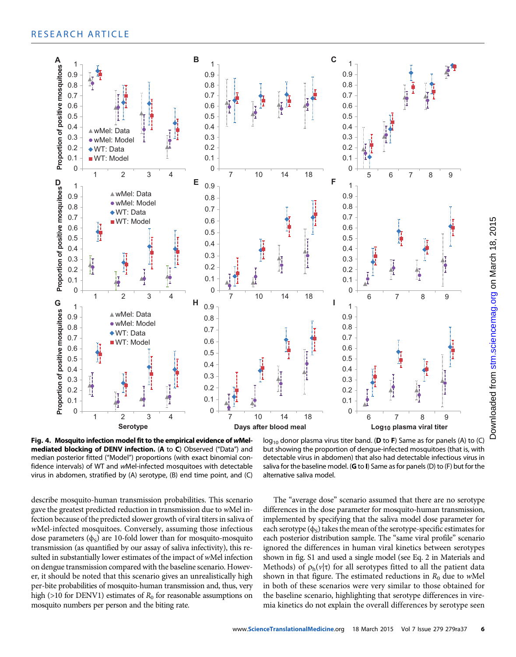

Fig. 4. Mosquito infection model fit to the empirical evidence of wMelmediated blocking of DENV infection. (A to C) Observed ("Data") and median posterior fitted ("Model") proportions (with exact binomial confidence intervals) of WT and wMel-infected mosquitoes with detectable virus in abdomen, stratified by (A) serotype, (B) end time point, and (C)

 $log_{10}$  donor plasma virus titer band. (D to F) Same as for panels (A) to (C) but showing the proportion of dengue-infected mosquitoes (that is, with detectable virus in abdomen) that also had detectable infectious virus in saliva for the baseline model. (**G** to **I**) Same as for panels (D) to (F) but for the alternative saliva model.

describe mosquito-human transmission probabilities. This scenario gave the greatest predicted reduction in transmission due to wMel infection because of the predicted slower growth of viral titers in saliva of wMel-infected mosquitoes. Conversely, assuming those infectious dose parameters  $(\phi_s)$  are 10-fold lower than for mosquito-mosquito transmission (as quantified by our assay of saliva infectivity), this resulted in substantially lower estimates of the impact of wMel infection on dengue transmission compared with the baseline scenario. However, it should be noted that this scenario gives an unrealistically high per-bite probabilities of mosquito-human transmission and, thus, very high (>10 for DENV1) estimates of  $R_0$  for reasonable assumptions on mosquito numbers per person and the biting rate.

The "average dose" scenario assumed that there are no serotype differences in the dose parameter for mosquito-human transmission, implemented by specifying that the saliva model dose parameter for each serotype  $(\phi_S)$  takes the mean of the serotype-specific estimates for each posterior distribution sample. The "same viral profile" scenario ignored the differences in human viral kinetics between serotypes shown in fig. S1 and used a single model (see Eq. 2 in Materials and Methods) of  $\rho_h(v|\tau)$  for all serotypes fitted to all the patient data shown in that figure. The estimated reductions in  $R_0$  due to wMel in both of these scenarios were very similar to those obtained for the baseline scenario, highlighting that serotype differences in viremia kinetics do not explain the overall differences by serotype seen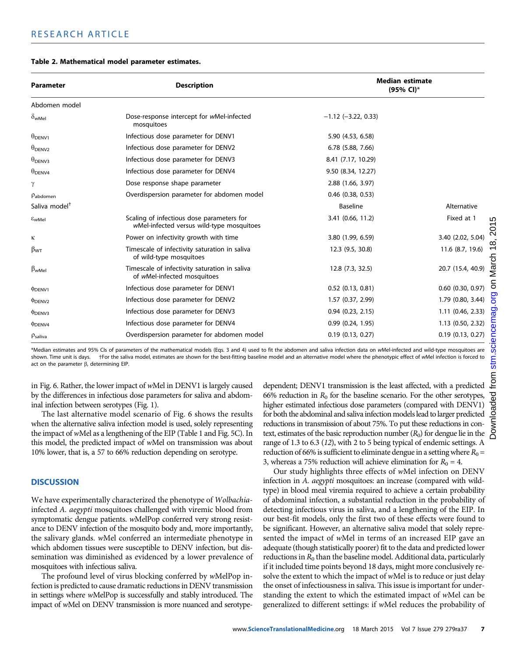| Table 2. Mathematical model parameter estimates. |  |  |  |
|--------------------------------------------------|--|--|--|
|--------------------------------------------------|--|--|--|

| <b>Parameter</b>              | <b>Description</b>                                                                     | <b>Median estimate</b><br>(95% CI)* |                       |
|-------------------------------|----------------------------------------------------------------------------------------|-------------------------------------|-----------------------|
| Abdomen model                 |                                                                                        |                                     |                       |
| $\delta_{\text{wMel}}$        | Dose-response intercept for wMel-infected<br>mosquitoes                                | $-1.12$ ( $-3.22$ , 0.33)           |                       |
| $\theta_{\text{DENV1}}$       | Infectious dose parameter for DENV1                                                    | 5.90 (4.53, 6.58)                   |                       |
| $\theta_{\text{DENV2}}$       | Infectious dose parameter for DENV2                                                    | 6.78 (5.88, 7.66)                   |                       |
| $\theta_{\text{DENV3}}$       | Infectious dose parameter for DENV3                                                    | 8.41 (7.17, 10.29)                  |                       |
| $\theta_{\text{DENV4}}$       | Infectious dose parameter for DENV4                                                    | 9.50 (8.34, 12.27)                  |                       |
| γ                             | Dose response shape parameter                                                          | 2.88 (1.66, 3.97)                   |                       |
| $p_{abdomen}$                 | Overdispersion parameter for abdomen model                                             | $0.46$ $(0.38, 0.53)$               |                       |
| Saliva model <sup>+</sup>     |                                                                                        | <b>Baseline</b>                     | Alternative           |
| $\varepsilon$ <sub>WMel</sub> | Scaling of infectious dose parameters for<br>wMel-infected versus wild-type mosquitoes | 3.41 (0.66, 11.2)                   | Fixed at 1            |
| κ                             | Power on infectivity growth with time                                                  | 3.80 (1.99, 6.59)                   | 3.40 (2.02, 5.04)     |
| $\beta_{WT}$                  | Timescale of infectivity saturation in saliva<br>of wild-type mosquitoes               | 12.3 (9.5, 30.8)                    | 11.6 (8.7, 19.6)      |
| $\beta_{wMel}$                | Timescale of infectivity saturation in saliva<br>of wMel-infected mosquitoes           | 12.8 (7.3, 32.5)                    | 20.7 (15.4, 40.9)     |
| <b>PDENV1</b>                 | Infectious dose parameter for DENV1                                                    | $0.52$ (0.13, 0.81)                 | $0.60$ $(0.30, 0.97)$ |
| <b>PDENV2</b>                 | Infectious dose parameter for DENV2                                                    | 1.57 (0.37, 2.99)                   | 1.79 (0.80, 3.44)     |
| <b>PDENV3</b>                 | Infectious dose parameter for DENV3                                                    | $0.94$ $(0.23, 2.15)$               | $1.11$ (0.46, 2.33)   |
| <b>PDENV4</b>                 | Infectious dose parameter for DENV4                                                    | 0.99(0.24, 1.95)                    | 1.13 (0.50, 2.32)     |
| $\rho_{\text{saliva}}$        | Overdispersion parameter for abdomen model                                             | $0.19$ $(0.13, 0.27)$               | $0.19$ $(0.13, 0.27)$ |

\*Median estimates and 95% CIs of parameters of the mathematical models (Eqs. 3 and 4) used to fit the abdomen and saliva infection data on wMel-infected and wild-type mosquitoes are shown. Time unit is days. +For the saliva model, estimates are shown for the best-fitting baseline model and an alternative model where the phenotypic effect of wMel infection is forced to act on the parameter  $\beta$ , determining EIP.

in Fig. 6. Rather, the lower impact of wMel in DENV1 is largely caused by the differences in infectious dose parameters for saliva and abdominal infection between serotypes (Fig. 1).

The last alternative model scenario of Fig. 6 shows the results when the alternative saliva infection model is used, solely representing the impact of wMel as a lengthening of the EIP (Table 1 and Fig. 5C). In this model, the predicted impact of wMel on transmission was about 10% lower, that is, a 57 to 66% reduction depending on serotype.

# **DISCUSSION**

We have experimentally characterized the phenotype of Wolbachiainfected A. aegypti mosquitoes challenged with viremic blood from symptomatic dengue patients. wMelPop conferred very strong resistance to DENV infection of the mosquito body and, more importantly, the salivary glands. wMel conferred an intermediate phenotype in which abdomen tissues were susceptible to DENV infection, but dissemination was diminished as evidenced by a lower prevalence of mosquitoes with infectious saliva.

The profound level of virus blocking conferred by wMelPop infection is predicted to cause dramatic reductions in DENV transmission in settings where wMelPop is successfully and stably introduced. The impact of wMel on DENV transmission is more nuanced and serotypedependent; DENV1 transmission is the least affected, with a predicted 66% reduction in  $R_0$  for the baseline scenario. For the other serotypes, higher estimated infectious dose parameters (compared with DENV1) for both the abdominal and saliva infection models lead to larger predicted reductions in transmission of about 75%. To put these reductions in context, estimates of the basic reproduction number  $(R_0)$  for dengue lie in the range of 1.3 to 6.3 (12), with 2 to 5 being typical of endemic settings. A reduction of 66% is sufficient to eliminate dengue in a setting where  $R_0$  = 3, whereas a 75% reduction will achieve elimination for  $R_0 = 4$ .

Our study highlights three effects of wMel infection on DENV infection in A. aegypti mosquitoes: an increase (compared with wildtype) in blood meal viremia required to achieve a certain probability of abdominal infection, a substantial reduction in the probability of detecting infectious virus in saliva, and a lengthening of the EIP. In our best-fit models, only the first two of these effects were found to be significant. However, an alternative saliva model that solely represented the impact of wMel in terms of an increased EIP gave an adequate (though statistically poorer) fit to the data and predicted lower reductions in  $R_0$  than the baseline model. Additional data, particularly if it included time points beyond 18 days, might more conclusively resolve the extent to which the impact of wMel is to reduce or just delay the onset of infectiousness in saliva. This issue is important for understanding the extent to which the estimated impact of wMel can be generalized to different settings: if wMel reduces the probability of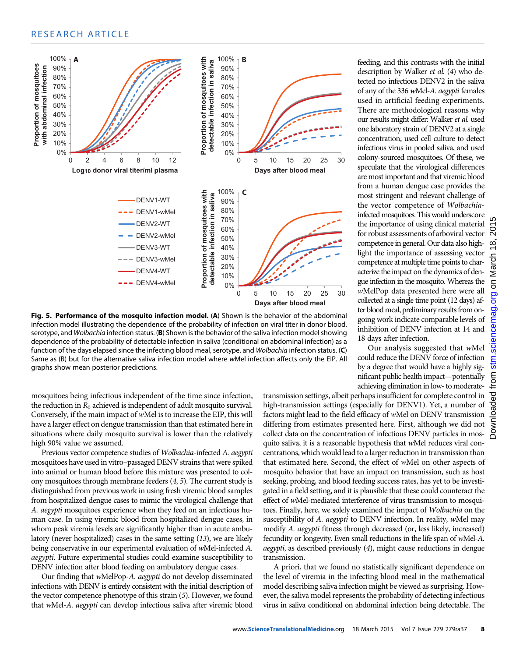

Fig. 5. Performance of the mosquito infection model. (A) Shown is the behavior of the abdominal infection model illustrating the dependence of the probability of infection on viral titer in donor blood, serotype, and *Wolbachia* infection status. (**B**) Shown is the behavior of the saliva infection model showing dependence of the probability of detectable infection in saliva (conditional on abdominal infection) as a function of the days elapsed since the infecting blood meal, serotype, and Wolbachia infection status. (C) Same as (B) but for the alternative saliva infection model where wMel infection affects only the EIP. All graphs show mean posterior predictions.

mosquitoes being infectious independent of the time since infection, the reduction in  $R_0$  achieved is independent of adult mosquito survival. Conversely, if the main impact of wMel is to increase the EIP, this will have a larger effect on dengue transmission than that estimated here in situations where daily mosquito survival is lower than the relatively high 90% value we assumed.

Previous vector competence studies of Wolbachia-infected A. aegypti mosquitoes have used in vitro–passaged DENV strains that were spiked into animal or human blood before this mixture was presented to colony mosquitoes through membrane feeders (4, 5). The current study is distinguished from previous work in using fresh viremic blood samples from hospitalized dengue cases to mimic the virological challenge that A. aegypti mosquitoes experience when they feed on an infectious human case. In using viremic blood from hospitalized dengue cases, in whom peak viremia levels are significantly higher than in acute ambulatory (never hospitalized) cases in the same setting (13), we are likely being conservative in our experimental evaluation of wMel-infected A. aegypti. Future experimental studies could examine susceptibility to DENV infection after blood feeding on ambulatory dengue cases.

Our finding that wMelPop-A. aegypti do not develop disseminated infections with DENV is entirely consistent with the initial description of the vector competence phenotype of this strain (5). However, we found that wMel-A. aegypti can develop infectious saliva after viremic blood

feeding, and this contrasts with the initial description by Walker et al. (4) who detected no infectious DENV2 in the saliva of any of the 336 wMel-A. aegypti females used in artificial feeding experiments. There are methodological reasons why our results might differ: Walker et al. used one laboratory strain of DENV2 at a single concentration, used cell culture to detect infectious virus in pooled saliva, and used colony-sourced mosquitoes. Of these, we speculate that the virological differences are most important and that viremic blood from a human dengue case provides the most stringent and relevant challenge of the vector competence of Wolbachiainfected mosquitoes. This would underscore the importance of using clinical material for robust assessments of arboviral vector competence in general. Our data also highlight the importance of assessing vector competence at multiple time points to characterize the impact on the dynamics of dengue infection in the mosquito. Whereas the wMelPop data presented here were all collected at a single time point (12 days) after blood meal, preliminary results from ongoing work indicate comparable levels of inhibition of DENV infection at 14 and 18 days after infection.

Our analysis suggested that wMel could reduce the DENV force of infection by a degree that would have a highly significant public health impact—potentially achieving elimination in low- to moderate-

transmission settings, albeit perhaps insufficient for complete control in high-transmission settings (especially for DENV1). Yet, a number of factors might lead to the field efficacy of wMel on DENV transmission differing from estimates presented here. First, although we did not collect data on the concentration of infectious DENV particles in mosquito saliva, it is a reasonable hypothesis that wMel reduces viral concentrations, which would lead to a larger reduction in transmission than that estimated here. Second, the effect of wMel on other aspects of mosquito behavior that have an impact on transmission, such as host seeking, probing, and blood feeding success rates, has yet to be investigated in a field setting, and it is plausible that these could counteract the effect of wMel-mediated interference of virus transmission to mosquitoes. Finally, here, we solely examined the impact of Wolbachia on the susceptibility of A. aegypti to DENV infection. In reality, wMel may modify A. aegypti fitness through decreased (or, less likely, increased) fecundity or longevity. Even small reductions in the life span of wMel-A. aegypti, as described previously (4), might cause reductions in dengue transmission.

A priori, that we found no statistically significant dependence on the level of viremia in the infecting blood meal in the mathematical model describing saliva infection might be viewed as surprising. However, the saliva model represents the probability of detecting infectious virus in saliva conditional on abdominal infection being detectable. The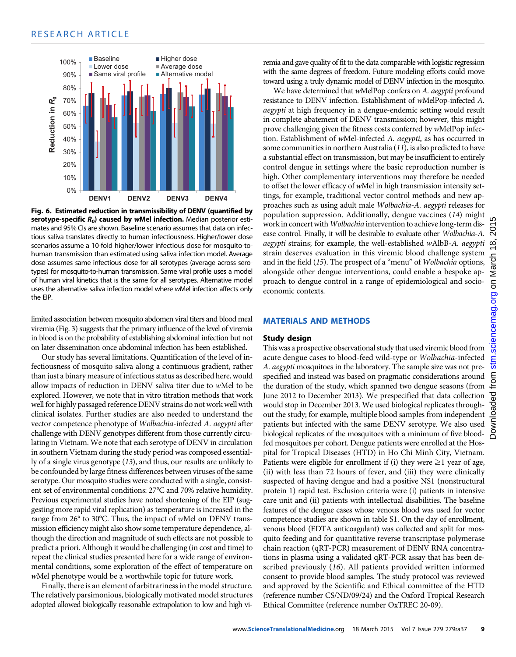

Fig. 6. Estimated reduction in transmissibility of DENV (quantified by serotype-specific  $R_0$ ) caused by wMel infection. Median posterior estimates and 95% CIs are shown. Baseline scenario assumes that data on infectious saliva translates directly to human infectiousness. Higher/lower dose scenarios assume a 10-fold higher/lower infectious dose for mosquito-tohuman transmission than estimated using saliva infection model. Average dose assumes same infectious dose for all serotypes (average across serotypes) for mosquito-to-human transmission. Same viral profile uses a model of human viral kinetics that is the same for all serotypes. Alternative model uses the alternative saliva infection model where wMel infection affects only the EIP.

limited association between mosquito abdomen viral titers and blood meal viremia (Fig. 3) suggests that the primary influence of the level of viremia in blood is on the probability of establishing abdominal infection but not on later dissemination once abdominal infection has been established.

Our study has several limitations. Quantification of the level of infectiousness of mosquito saliva along a continuous gradient, rather than just a binary measure of infectious status as described here, would allow impacts of reduction in DENV saliva titer due to wMel to be explored. However, we note that in vitro titration methods that work well for highly passaged reference DENV strains do not work well with clinical isolates. Further studies are also needed to understand the vector competence phenotype of Wolbachia-infected A. aegypti after challenge with DENV genotypes different from those currently circulating in Vietnam. We note that each serotype of DENV in circulation in southern Vietnam during the study period was composed essentially of a single virus genotype (13), and thus, our results are unlikely to be confounded by large fitness differences between viruses of the same serotype. Our mosquito studies were conducted with a single, consistent set of environmental conditions: 27°C and 70% relative humidity. Previous experimental studies have noted shortening of the EIP (suggesting more rapid viral replication) as temperature is increased in the range from 26° to 30°C. Thus, the impact of wMel on DENV transmission efficiency might also show some temperature dependence, although the direction and magnitude of such effects are not possible to predict a priori. Although it would be challenging (in cost and time) to repeat the clinical studies presented here for a wide range of environmental conditions, some exploration of the effect of temperature on wMel phenotype would be a worthwhile topic for future work.

Finally, there is an element of arbitrariness in the model structure. The relatively parsimonious, biologically motivated model structures adopted allowed biologically reasonable extrapolation to low and high viremia and gave quality of fit to the data comparable with logistic regression with the same degrees of freedom. Future modeling efforts could move toward using a truly dynamic model of DENV infection in the mosquito.

We have determined that wMelPop confers on A. aegypti profound resistance to DENV infection. Establishment of wMelPop-infected A. aegypti at high frequency in a dengue-endemic setting would result in complete abatement of DENV transmission; however, this might prove challenging given the fitness costs conferred by wMelPop infection. Establishment of wMel-infected A. aegypti, as has occurred in some communities in northern Australia (11), is also predicted to have a substantial effect on transmission, but may be insufficient to entirely control dengue in settings where the basic reproduction number is high. Other complementary interventions may therefore be needed to offset the lower efficacy of wMel in high transmission intensity settings, for example, traditional vector control methods and new approaches such as using adult male Wolbachia-A. aegypti releases for population suppression. Additionally, dengue vaccines (14) might work in concert with Wolbachia intervention to achieve long-term disease control. Finally, it will be desirable to evaluate other Wolbachia-A. aegypti strains; for example, the well-established wAlbB-A. aegypti strain deserves evaluation in this viremic blood challenge system and in the field (15). The prospect of a "menu" of Wolbachia options, alongside other dengue interventions, could enable a bespoke approach to dengue control in a range of epidemiological and socioeconomic contexts.

## MATERIALS AND METHODS

#### Study design

This was a prospective observational study that used viremic blood from acute dengue cases to blood-feed wild-type or Wolbachia-infected A. *aegypti* mosquitoes in the laboratory. The sample size was not prespecified and instead was based on pragmatic considerations around the duration of the study, which spanned two dengue seasons (from June 2012 to December 2013). We prespecified that data collection would stop in December 2013. We used biological replicates throughout the study; for example, multiple blood samples from independent patients but infected with the same DENV serotype. We also used biological replicates of the mosquitoes with a minimum of five bloodfed mosquitoes per cohort. Dengue patients were enrolled at the Hospital for Tropical Diseases (HTD) in Ho Chi Minh City, Vietnam. Patients were eligible for enrollment if (i) they were  $\geq 1$  year of age, (ii) with less than 72 hours of fever, and (iii) they were clinically suspected of having dengue and had a positive NS1 (nonstructural protein 1) rapid test. Exclusion criteria were (i) patients in intensive care unit and (ii) patients with intellectual disabilities. The baseline features of the dengue cases whose venous blood was used for vector competence studies are shown in table S1. On the day of enrollment, venous blood (EDTA anticoagulant) was collected and split for mosquito feeding and for quantitative reverse transcriptase polymerase chain reaction (qRT-PCR) measurement of DENV RNA concentrations in plasma using a validated qRT-PCR assay that has been described previously (16). All patients provided written informed consent to provide blood samples. The study protocol was reviewed and approved by the Scientific and Ethical committee of the HTD (reference number CS/ND/09/24) and the Oxford Tropical Research Ethical Committee (reference number OxTREC 20-09).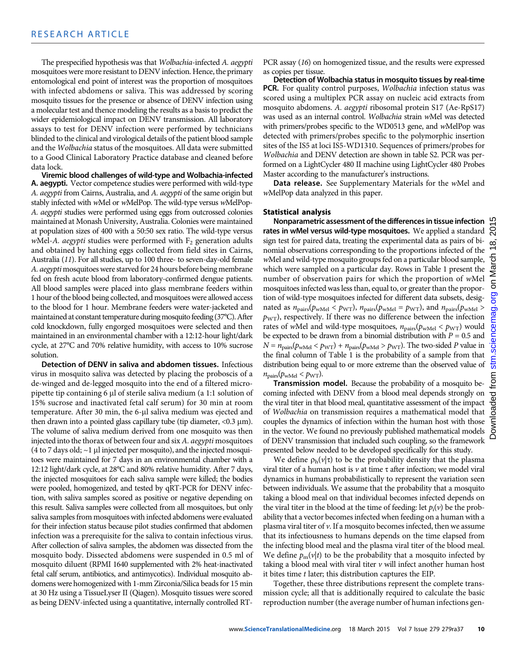The prespecified hypothesis was that Wolbachia-infected A. aegypti mosquitoes were more resistant to DENV infection. Hence, the primary entomological end point of interest was the proportion of mosquitoes with infected abdomens or saliva. This was addressed by scoring mosquito tissues for the presence or absence of DENV infection using a molecular test and thence modeling the results as a basis to predict the wider epidemiological impact on DENV transmission. All laboratory assays to test for DENV infection were performed by technicians blinded to the clinical and virological details of the patient blood sample and the Wolbachia status of the mosquitoes. All data were submitted to a Good Clinical Laboratory Practice database and cleaned before data lock.

Viremic blood challenges of wild-type and Wolbachia-infected A. aegypti. Vector competence studies were performed with wild-type A. aegypti from Cairns, Australia, and A. aegypti of the same origin but stably infected with wMel or wMelPop. The wild-type versus wMelPop-A. aegypti studies were performed using eggs from outcrossed colonies maintained at Monash University, Australia. Colonies were maintained at population sizes of 400 with a 50:50 sex ratio. The wild-type versus wMel-A. aegypti studies were performed with  $F_2$  generation adults and obtained by hatching eggs collected from field sites in Cairns, Australia (11). For all studies, up to 100 three- to seven-day-old female A. aegypti mosquitoes were starved for 24 hours before being membrane fed on fresh acute blood from laboratory-confirmed dengue patients. All blood samples were placed into glass membrane feeders within 1 hour of the blood being collected, and mosquitoes were allowed access to the blood for 1 hour. Membrane feeders were water-jacketed and maintained at constant temperature during mosquito feeding (37°C). After cold knockdown, fully engorged mosquitoes were selected and then maintained in an environmental chamber with a 12:12-hour light/dark cycle, at 27°C and 70% relative humidity, with access to 10% sucrose solution.

Detection of DENV in saliva and abdomen tissues. Infectious virus in mosquito saliva was detected by placing the proboscis of a de-winged and de-legged mosquito into the end of a filtered micropipette tip containing 6  $\mu$ l of sterile saliva medium (a 1:1 solution of 15% sucrose and inactivated fetal calf serum) for 30 min at room temperature. After 30 min, the 6-µl saliva medium was ejected and then drawn into a pointed glass capillary tube (tip diameter,  $<$ 0.3  $\mu$ m). The volume of saliva medium derived from one mosquito was then injected into the thorax of between four and six A. aegypti mosquitoes (4 to 7 days old;  $\sim$ 1 µl injected per mosquito), and the injected mosquitoes were maintained for 7 days in an environmental chamber with a 12:12 light/dark cycle, at 28°C and 80% relative humidity. After 7 days, the injected mosquitoes for each saliva sample were killed; the bodies were pooled, homogenized, and tested by qRT-PCR for DENV infection, with saliva samples scored as positive or negative depending on this result. Saliva samples were collected from all mosquitoes, but only saliva samples from mosquitoes with infected abdomens were evaluated for their infection status because pilot studies confirmed that abdomen infection was a prerequisite for the saliva to contain infectious virus. After collection of saliva samples, the abdomen was dissected from the mosquito body. Dissected abdomens were suspended in 0.5 ml of mosquito diluent (RPMI 1640 supplemented with 2% heat-inactivated fetal calf serum, antibiotics, and antimycotics). Individual mosquito abdomens were homogenized with 1-mm Zirconia/Silica beads for 15 min at 30 Hz using a TissueLyser II (Qiagen). Mosquito tissues were scored as being DENV-infected using a quantitative, internally controlled RT-

PCR assay (16) on homogenized tissue, and the results were expressed as copies per tissue.

Detection of Wolbachia status in mosquito tissues by real-time PCR. For quality control purposes, Wolbachia infection status was scored using a multiplex PCR assay on nucleic acid extracts from mosquito abdomens. A. aegypti ribosomal protein S17 (Ae-RpS17) was used as an internal control. Wolbachia strain wMel was detected with primers/probes specific to the WD0513 gene, and wMelPop was detected with primers/probes specific to the polymorphic insertion sites of the IS5 at loci IS5-WD1310. Sequences of primers/probes for Wolbachia and DENV detection are shown in table S2. PCR was performed on a LightCycler 480 II machine using LightCycler 480 Probes Master according to the manufacturer's instructions.

Data release. See Supplementary Materials for the wMel and wMelPop data analyzed in this paper.

#### Statistical analysis

Nonparametric assessment of the differences in tissue infection rates in wMel versus wild-type mosquitoes. We applied a standard  $\bigcirc$ sign test for paired data, treating the experimental data as pairs of binomial observations corresponding to the proportions infected of the wMel and wild-type mosquito groups fed on a particular blood sample, which were sampled on a particular day. Rows in Table 1 present the number of observation pairs for which the proportion of wMel mosquitoes infected was less than, equal to, or greater than the proportion of wild-type mosquitoes infected for different data subsets, designated as  $n_{\text{pairs}}(p_{\text{wMel}} < p_{\text{WT}})$ ,  $n_{\text{pairs}}(p_{\text{wMel}} = p_{\text{WT}})$ , and  $n_{\text{pairs}}(p_{\text{wMel}} > p_{\text{WT}})$  $p_{\text{WT}}$ ), respectively. If there was no difference between the infection rates of wMel and wild-type mosquitoes,  $n_{\text{pairs}}(p_{\text{wMel}} < p_{\text{WT}})$  would be expected to be drawn from a binomial distribution with  $P = 0.5$  and  $N = n_{\text{pairs}}(p_{\text{wMel}} < p_{\text{WT}}) + n_{\text{pairs}}(p_{\text{wMel}} > p_{\text{WT}})$ . The two-sided P value in the final column of Table 1 is the probability of a sample from that distribution being equal to or more extreme than the observed value of  $n_{\text{pairs}}(p_{\text{wMel}} < p_{\text{WT}}).$ 

Transmission model. Because the probability of a mosquito becoming infected with DENV from a blood meal depends strongly on the viral titer in that blood meal, quantitative assessment of the impact of Wolbachia on transmission requires a mathematical model that couples the dynamics of infection within the human host with those in the vector. We found no previously published mathematical models of DENV transmission that included such coupling, so the framework presented below needed to be developed specifically for this study.

We define  $\rho_h(v|\tau)$  to be the probability density that the plasma viral titer of a human host is  $\nu$  at time  $\tau$  after infection; we model viral dynamics in humans probabilistically to represent the variation seen between individuals. We assume that the probability that a mosquito taking a blood meal on that individual becomes infected depends on the viral titer in the blood at the time of feeding: let  $p_i(v)$  be the probability that a vector becomes infected when feeding on a human with a plasma viral titer of  $\nu$ . If a mosquito becomes infected, then we assume that its infectiousness to humans depends on the time elapsed from the infecting blood meal and the plasma viral titer of the blood meal. We define  $p_m(v|t)$  to be the probability that a mosquito infected by taking a blood meal with viral titer  $\nu$  will infect another human host it bites time t later; this distribution captures the EIP.

Together, these three distributions represent the complete transmission cycle; all that is additionally required to calculate the basic reproduction number (the average number of human infections gen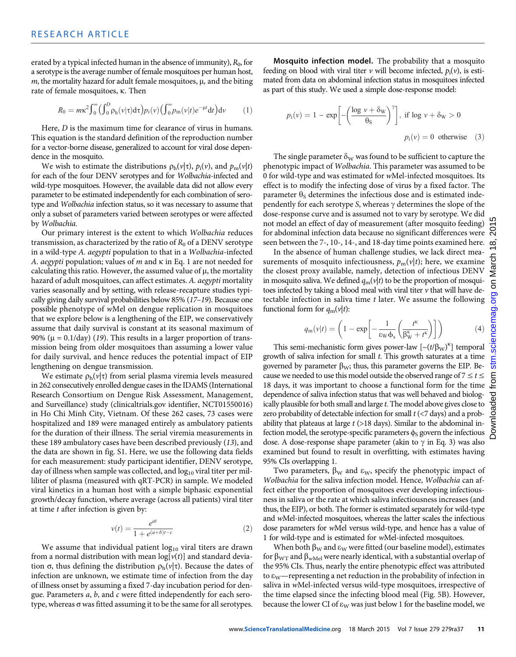erated by a typical infected human in the absence of immunity),  $R_0$ , for a serotype is the average number of female mosquitoes per human host,  $m$ , the mortality hazard for adult female mosquitoes,  $\mu$ , and the biting rate of female mosquitoes, k. Then

$$
R_0 = m\kappa^2 \int_0^\infty \left(\int_0^D \rho_h(\nu|\tau) d\tau\right) p_i(\nu) \left(\int_0^\infty p_m(\nu|t) e^{-\mu t} dt\right) d\nu \tag{1}
$$

Here, D is the maximum time for clearance of virus in humans. This equation is the standard definition of the reproduction number for a vector-borne disease, generalized to account for viral dose dependence in the mosquito.

We wish to estimate the distributions  $\rho_h(v|\tau)$ ,  $p_i(v)$ , and  $p_m(v|t)$ for each of the four DENV serotypes and for Wolbachia-infected and wild-type mosquitoes. However, the available data did not allow every parameter to be estimated independently for each combination of serotype and Wolbachia infection status, so it was necessary to assume that only a subset of parameters varied between serotypes or were affected by Wolbachia.

Our primary interest is the extent to which Wolbachia reduces transmission, as characterized by the ratio of  $R_0$  of a DENV serotype in a wild-type A. aegypti population to that in a Wolbachia-infected A. aegypti population; values of  $m$  and  $\kappa$  in Eq. 1 are not needed for calculating this ratio. However, the assumed value of  $\mu$ , the mortality hazard of adult mosquitoes, can affect estimates. A. aegypti mortality varies seasonally and by setting, with release-recapture studies typically giving daily survival probabilities below 85% (17–19). Because one possible phenotype of wMel on dengue replication in mosquitoes that we explore below is a lengthening of the EIP, we conservatively assume that daily survival is constant at its seasonal maximum of 90% ( $\mu$  = 0.1/day) (19). This results in a larger proportion of transmission being from older mosquitoes than assuming a lower value for daily survival, and hence reduces the potential impact of EIP lengthening on dengue transmission.

We estimate  $\rho_h(v|\tau)$  from serial plasma viremia levels measured in 262 consecutively enrolled dengue cases in the IDAMS (International Research Consortium on Dengue Risk Assessment, Management, and Surveillance) study (clinicaltrials.gov identifier, NCT01550016) in Ho Chi Minh City, Vietnam. Of these 262 cases, 73 cases were hospitalized and 189 were managed entirely as ambulatory patients for the duration of their illness. The serial viremia measurements in these 189 ambulatory cases have been described previously (13), and the data are shown in fig. S1. Here, we use the following data fields for each measurement: study participant identifier, DENV serotype, day of illness when sample was collected, and  $log_{10}$  viral titer per milliliter of plasma (measured with qRT-PCR) in sample. We modeled viral kinetics in a human host with a simple biphasic exponential growth/decay function, where average (across all patients) viral titer at time t after infection is given by:

$$
v(t) = \frac{e^{at}}{1 + e^{(a+b)t-c}}
$$
 (2)

We assume that individual patient  $log_{10}$  viral titers are drawn from a normal distribution with mean  $log[v(t)]$  and standard deviation  $\sigma$ , thus defining the distribution  $\rho_h(v|\tau)$ . Because the dates of infection are unknown, we estimate time of infection from the day of illness onset by assuming a fixed 7-day incubation period for dengue. Parameters a, b, and c were fitted independently for each serotype, whereas  $\sigma$  was fitted assuming it to be the same for all serotypes.

Mosquito infection model. The probability that a mosquito feeding on blood with viral titer  $\nu$  will become infected,  $p_i(\nu)$ , is estimated from data on abdominal infection status in mosquitoes infected as part of this study. We used a simple dose-response model:

$$
p_i(v) = 1 - \exp\left[-\left(\frac{\log v + \delta_w}{\theta_S}\right)^{\gamma}\right], \text{ if } \log v + \delta_w > 0
$$
  

$$
p_i(v) = 0 \text{ otherwise } (3)
$$

The single parameter  $\delta_W$  was found to be sufficient to capture the phenotypic impact of Wolbachia. This parameter was assumed to be 0 for wild-type and was estimated for wMel-infected mosquitoes. Its effect is to modify the infecting dose of virus by a fixed factor. The parameter  $\theta_s$  determines the infectious dose and is estimated independently for each serotype S, whereas  $\gamma$  determines the slope of the dose-response curve and is assumed not to vary by serotype. We did not model an effect of day of measurement (after mosquito feeding) for abdominal infection data because no significant differences were seen between the 7-, 10-, 14-, and 18-day time points examined here.

In the absence of human challenge studies, we lack direct measurements of mosquito infectiousness,  $p_m(v|t)$ ; here, we examine the closest proxy available, namely, detection of infectious DENV in mosquito saliva. We defined  $q_m(v|t)$  to be the proportion of mosquitoes infected by taking a blood meal with viral titer  $\nu$  that will have detectable infection in saliva time  $t$  later. We assume the following functional form for  $q_m(v|t)$ :

$$
q_{\rm m}(\nu|t) = \left(1 - \exp\left[-\frac{1}{\varepsilon_{\rm W}\phi_{\rm s}}\left(\frac{t^{\rm K}}{\beta_{\rm W}^{\rm K} + t^{\rm K}}\right)\right]\right) \tag{4}
$$

This semi-mechanistic form gives power-law  $\left[\sim(t/\beta_{\rm W})^{\kappa}\right]$  temporal growth of saliva infection for small  $t$ . This growth saturates at a time governed by parameter  $\beta_{W}$ ; thus, this parameter governs the EIP. Because we needed to use this model outside the observed range of  $7 \le t \le$ 18 days, it was important to choose a functional form for the time dependence of saliva infection status that was well behaved and biologically plausible for both small and large t. The model above gives close to zero probability of detectable infection for small  $t \leq 7$  days) and a probability that plateaus at large  $t$  (>18 days). Similar to the abdominal infection model, the serotype-specific parameters  $\phi_S$  govern the infectious dose. A dose-response shape parameter (akin to  $\gamma$  in Eq. 3) was also examined but found to result in overfitting, with estimates having 95% CIs overlapping 1.

Two parameters,  $\beta_{\rm W}$  and  $\epsilon_{\rm W}$ , specify the phenotypic impact of Wolbachia for the saliva infection model. Hence, Wolbachia can affect either the proportion of mosquitoes ever developing infectiousness in saliva or the rate at which saliva infectiousness increases (and thus, the EIP), or both. The former is estimated separately for wild-type and wMel-infected mosquitoes, whereas the latter scales the infectious dose parameters for wMel versus wild-type, and hence has a value of 1 for wild-type and is estimated for wMel-infected mosquitoes.

When both  $\beta_W$  and  $\epsilon_W$  were fitted (our baseline model), estimates for  $\beta_{\text{WT}}$  and  $\beta_{\text{wMel}}$  were nearly identical, with a substantial overlap of the 95% CIs. Thus, nearly the entire phenotypic effect was attributed to  $\varepsilon_{\rm W}$ —representing a net reduction in the probability of infection in saliva in wMel-infected versus wild-type mosquitoes, irrespective of the time elapsed since the infecting blood meal (Fig. 5B). However, because the lower CI of  $\varepsilon_W$  was just below 1 for the baseline model, we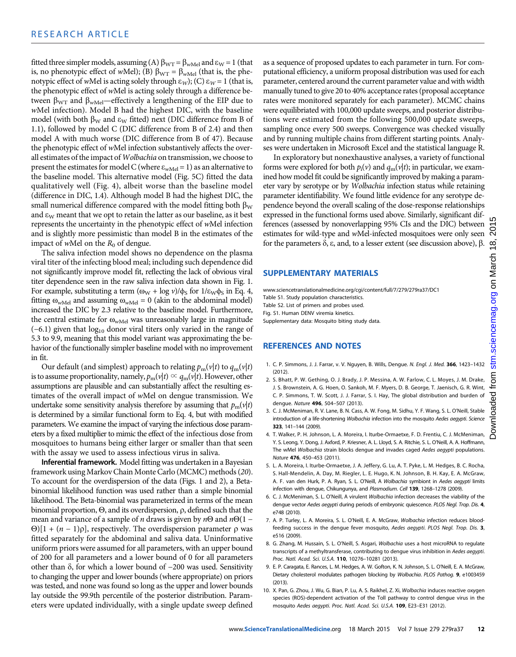fitted three simpler models, assuming (A)  $\beta_{\text{WT}} = \beta_{\text{wMel}}$  and  $\epsilon_{\text{W}} = 1$  (that is, no phenotypic effect of wMel); (B)  $\beta_{WT} = \beta_{wMel}$  (that is, the phenotypic effect of wMel is acting solely through  $\varepsilon_W$ ); (C)  $\varepsilon_W = 1$  (that is, the phenotypic effect of wMel is acting solely through a difference between  $\beta_{\text{WT}}$  and  $\beta_{\text{wMel}}$ —effectively a lengthening of the EIP due to wMel infection). Model B had the highest DIC, with the baseline model (with both  $\beta_W$  and  $\epsilon_W$  fitted) next (DIC difference from B of 1.1), followed by model C (DIC difference from B of 2.4) and then model A with much worse (DIC difference from B of 47). Because the phenotypic effect of wMel infection substantively affects the overall estimates of the impact of Wolbachia on transmission, we choose to present the estimates for model C (where  $\varepsilon_{wMel} = 1$ ) as an alternative to the baseline model. This alternative model (Fig. 5C) fitted the data qualitatively well (Fig. 4), albeit worse than the baseline model (difference in DIC, 1.4). Although model B had the highest DIC, the small numerical difference compared with the model fitting both  $\beta_W$ and  $\varepsilon_{\rm W}$  meant that we opt to retain the latter as our baseline, as it best represents the uncertainty in the phenotypic effect of wMel infection and is slightly more pessimistic than model B in the estimates of the impact of wMel on the  $R_0$  of dengue.

The saliva infection model shows no dependence on the plasma viral titer of the infecting blood meal; including such dependence did not significantly improve model fit, reflecting the lack of obvious viral titer dependence seen in the raw saliva infection data shown in Fig. 1. For example, substituting a term  $(\omega_{W} + \log \nu)/\phi_{S}$  for  $1/\epsilon_{W}\phi_{S}$  in Eq. 4, fitting  $\omega_{wMel}$  and assuming  $\omega_{wMel} = 0$  (akin to the abdominal model) increased the DIC by 2.3 relative to the baseline model. Furthermore, the central estimate for  $\omega_{\text{wMel}}$  was unreasonably large in magnitude  $(-6.1)$  given that  $log_{10}$  donor viral titers only varied in the range of 5.3 to 9.9, meaning that this model variant was approximating the behavior of the functionally simpler baseline model with no improvement in fit.

Our default (and simplest) approach to relating  $p_m(v|t)$  to  $q_m(v|t)$ is to assume proportionality, namely,  $p_m(v|t) \propto q_m(v|t)$ . However, other assumptions are plausible and can substantially affect the resulting estimates of the overall impact of wMel on dengue transmission. We undertake some sensitivity analysis therefore by assuming that  $p_m(v|t)$ is determined by a similar functional form to Eq. 4, but with modified parameters. We examine the impact of varying the infectious dose parameters by a fixed multiplier to mimic the effect of the infectious dose from mosquitoes to humans being either larger or smaller than that seen with the assay we used to assess infectious virus in saliva.

Inferential framework. Model fitting was undertaken in a Bayesian framework using Markov Chain Monte Carlo (MCMC) methods (20). To account for the overdispersion of the data (Figs. 1 and 2), a Betabinomial likelihood function was used rather than a simple binomial likelihood. The Beta-binomial was parameterized in terms of the mean binomial proportion,  $\Theta$ , and its overdispersion,  $\rho$ , defined such that the mean and variance of a sample of *n* draws is given by *n* $\Theta$  and *n* $\Theta$ (1 −  $\Theta$ [1 + (n – 1) $\rho$ ], respectively. The overdispersion parameter  $\rho$  was fitted separately for the abdominal and saliva data. Uninformative uniform priors were assumed for all parameters, with an upper bound of 200 for all parameters and a lower bound of 0 for all parameters other than δ, for which a lower bound of −200 was used. Sensitivity to changing the upper and lower bounds (where appropriate) on priors was tested, and none was found so long as the upper and lower bounds lay outside the 99.9th percentile of the posterior distribution. Parameters were updated individually, with a single update sweep defined

as a sequence of proposed updates to each parameter in turn. For computational efficiency, a uniform proposal distribution was used for each parameter, centered around the current parameter value and with width manually tuned to give 20 to 40% acceptance rates (proposal acceptance rates were monitored separately for each parameter). MCMC chains were equilibriated with 100,000 update sweeps, and posterior distributions were estimated from the following 500,000 update sweeps, sampling once every 500 sweeps. Convergence was checked visually and by running multiple chains from different starting points. Analyses were undertaken in Microsoft Excel and the statistical language R.

In exploratory but nonexhaustive analyses, a variety of functional forms were explored for both  $p_i(v)$  and  $q_m(v|t)$ ; in particular, we examined how model fit could be significantly improved by making a parameter vary by serotype or by Wolbachia infection status while retaining parameter identifiability. We found little evidence for any serotype dependence beyond the overall scaling of the dose-response relationships expressed in the functional forms used above. Similarly, significant differences (assessed by nonoverlapping 95% CIs and the DIC) between estimates for wild-type and wMel-infected mosquitoes were only seen for the parameters  $\delta$ ,  $\varepsilon$ , and, to a lesser extent (see discussion above),  $\beta$ .

#### SUPPLEMENTARY MATERIALS

www.sciencetranslationalmedicine.org/cgi/content/full/7/279/279ra37/DC1 Table S1. Study population characteristics. Table S2. List of primers and probes used. Fig. S1. Human DENV viremia kinetics. Supplementary data: Mosquito biting study data.

# REFERENCES AND NOTES

- 1. C. P. Simmons, J. J. Farrar, v. V. Nguyen, B. Wills, Dengue. N. Engl. J. Med. 366, 1423–1432 (2012).
- 2. S. Bhatt, P. W. Gething, O. J. Brady, J. P. Messina, A. W. Farlow, C. L. Moyes, J. M. Drake, J. S. Brownstein, A. G. Hoen, O. Sankoh, M. F. Myers, D. B. George, T. Jaenisch, G. R. Wint, C. P. Simmons, T. W. Scott, J. J. Farrar, S. I. Hay, The global distribution and burden of dengue. Nature 496, 504–507 (2013).
- 3. C. J. McMeniman, R. V. Lane, B. N. Cass, A. W. Fong, M. Sidhu, Y. F. Wang, S. L. O'Neill, Stable introduction of a life-shortening Wolbachia infection into the mosquito Aedes aegypti. Science 323, 141–144 (2009).
- 4. T. Walker, P. H. Johnson, L. A. Moreira, I. Iturbe-Ormaetxe, F. D. Frentiu, C. J. McMeniman, Y. S. Leong, Y. Dong, J. Axford, P. Kriesner, A. L. Lloyd, S. A. Ritchie, S. L. O'Neill, A. A. Hoffmann, The wMel Wolbachia strain blocks dengue and invades caged Aedes aegypti populations. Nature 476, 450–453 (2011).
- 5. L. A. Moreira, I. Iturbe-Ormaetxe, J. A. Jeffery, G. Lu, A. T. Pyke, L. M. Hedges, B. C. Rocha, S. Hall-Mendelin, A. Day, M. Riegler, L. E. Hugo, K. N. Johnson, B. H. Kay, E. A. McGraw, A. F. van den Hurk, P. A. Ryan, S. L. O'Neill, A Wolbachia symbiont in Aedes aegypti limits infection with dengue, Chikungunya, and Plasmodium. Cell 139, 1268-1278 (2009).
- 6. C. J. McMeniman, S. L. O'Neill, A virulent Wolbachia infection decreases the viability of the dengue vector Aedes aegypti during periods of embryonic quiescence. PLOS Negl. Trop. Dis. 4, e748 (2010).
- 7. A. P. Turley, L. A. Moreira, S. L. O'Neill, E. A. McGraw, Wolbachia infection reduces bloodfeeding success in the dengue fever mosquito, Aedes aegypti. PLOS Negl. Trop. Dis. 3, e516 (2009).
- 8. G. Zhang, M. Hussain, S. L. O'Neill, S. Asgari, Wolbachia uses a host microRNA to regulate transcripts of a methyltransferase, contributing to dengue virus inhibition in Aedes aegypti. Proc. Natl. Acad. Sci. U.S.A. 110, 10276–10281 (2013).
- 9. E. P. Caragata, E. Rances, L. M. Hedges, A. W. Gofton, K. N. Johnson, S. L. O'Neill, E. A. McGraw, Dietary cholesterol modulates pathogen blocking by Wolbachia. PLOS Pathog. 9, e1003459 (2013).
- 10. X. Pan, G. Zhou, J. Wu, G. Bian, P. Lu, A. S. Raikhel, Z. Xi, Wolbachia induces reactive oxygen species (ROS)-dependent activation of the Toll pathway to control dengue virus in the mosquito Aedes aegypti. Proc. Natl. Acad. Sci. U.S.A. 109, E23–E31 (2012).

201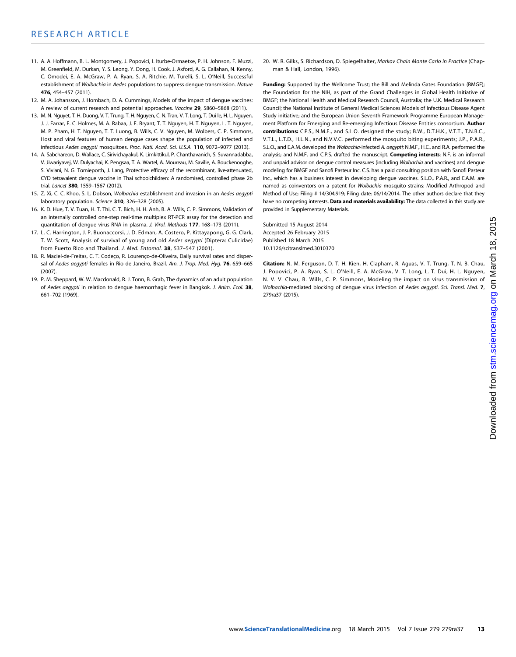- 11. A. A. Hoffmann, B. L. Montgomery, J. Popovici, I. Iturbe-Ormaetxe, P. H. Johnson, F. Muzzi, M. Greenfield, M. Durkan, Y. S. Leong, Y. Dong, H. Cook, J. Axford, A. G. Callahan, N. Kenny, C. Omodei, E. A. McGraw, P. A. Ryan, S. A. Ritchie, M. Turelli, S. L. O'Neill, Successful establishment of Wolbachia in Aedes populations to suppress dengue transmission. Nature 476, 454–457 (2011).
- 12. M. A. Johansson, J. Hombach, D. A. Cummings, Models of the impact of dengue vaccines: A review of current research and potential approaches. Vaccine 29, 5860-5868 (2011).
- 13. M. N. Nguyet, T. H. Duong, V. T. Trung, T. H. Nguyen, C. N. Tran, V. T. Long, T. Dui le, H. L. Nguyen, J. J. Farrar, E. C. Holmes, M. A. Rabaa, J. E. Bryant, T. T. Nguyen, H. T. Nguyen, L. T. Nguyen, M. P. Pham, H. T. Nguyen, T. T. Luong, B. Wills, C. V. Nguyen, M. Wolbers, C. P. Simmons, Host and viral features of human dengue cases shape the population of infected and infectious Aedes aegypti mosquitoes. Proc. Natl. Acad. Sci. U.S.A. 110, 9072–9077 (2013).
- 14. A. Sabchareon, D. Wallace, C. Sirivichayakul, K. Limkittikul, P. Chanthavanich, S. Suvannadabba, V. Jiwariyavej, W. Dulyachai, K. Pengsaa, T. A. Wartel, A. Moureau, M. Saville, A. Bouckenooghe, S. Viviani, N. G. Tornieporth, J. Lang, Protective efficacy of the recombinant, live-attenuated, CYD tetravalent dengue vaccine in Thai schoolchildren: A randomised, controlled phase 2b trial. Lancet 380, 1559-1567 (2012).
- 15. Z. Xi, C. C. Khoo, S. L. Dobson, Wolbachia establishment and invasion in an Aedes aegypti laboratory population. Science 310, 326-328 (2005).
- 16. K. D. Hue, T. V. Tuan, H. T. Thi, C. T. Bich, H. H. Anh, B. A. Wills, C. P. Simmons, Validation of an internally controlled one-step real-time multiplex RT-PCR assay for the detection and quantitation of dengue virus RNA in plasma. J. Virol. Methods 177, 168-173 (2011).
- 17. L. C. Harrington, J. P. Buonaccorsi, J. D. Edman, A. Costero, P. Kittayapong, G. G. Clark, T. W. Scott, Analysis of survival of young and old Aedes aegypti (Diptera: Culicidae) from Puerto Rico and Thailand. J. Med. Entomol. 38, 537-547 (2001).
- 18. R. Maciel-de-Freitas, C. T. Codeço, R. Lourenço-de-Oliveira, Daily survival rates and dispersal of Aedes aegypti females in Rio de Janeiro, Brazil. Am. J. Trop. Med. Hyg. 76, 659-665 (2007).
- 19. P. M. Sheppard, W. W. Macdonald, R. J. Tonn, B. Grab, The dynamics of an adult population of Aedes aegypti in relation to dengue haemorrhagic fever in Bangkok. J. Anim. Ecol. 38, 661–702 (1969).

20. W. R. Gilks, S. Richardson, D. Spiegelhalter, Markov Chain Monte Carlo in Practice (Chapman & Hall, London, 1996).

Funding: Supported by the Wellcome Trust; the Bill and Melinda Gates Foundation (BMGF); the Foundation for the NIH, as part of the Grand Challenges in Global Health Initiative of BMGF; the National Health and Medical Research Council, Australia; the U.K. Medical Research Council; the National Institute of General Medical Sciences Models of Infectious Disease Agent Study initiative; and the European Union Seventh Framework Programme European Management Platform for Emerging and Re-emerging Infectious Disease Entities consortium. Author contributions: C.P.S., N.M.F., and S.L.O. designed the study; B.W., D.T.H.K., V.T.T., T.N.B.C., V.T.L., L.T.D., H.L.N., and N.V.V.C. performed the mosquito biting experiments; J.P., P.A.R., S.L.O., and E.A.M. developed the Wolbachia-infected A. aegypti; N.M.F., H.C., and R.A. performed the analysis; and N.M.F. and C.P.S. drafted the manuscript. Competing interests: N.F. is an informal and unpaid advisor on dengue control measures (including Wolbachia and vaccines) and dengue modeling for BMGF and Sanofi Pasteur Inc. C.S. has a paid consulting position with Sanofi Pasteur Inc., which has a business interest in developing dengue vaccines. S.L.O., P.A.R., and E.A.M. are named as coinventors on a patent for Wolbachia mosquito strains: Modified Arthropod and Method of Use; Filing # 14/304,919; Filing date: 06/14/2014. The other authors declare that they have no competing interests. Data and materials availability: The data collected in this study are provided in Supplementary Materials.

Submitted 15 August 2014 Accepted 26 February 2015 Published 18 March 2015 10.1126/scitranslmed.3010370

Citation: N. M. Ferguson, D. T. H. Kien, H. Clapham, R. Aguas, V. T. Trung, T. N. B. Chau, J. Popovici, P. A. Ryan, S. L. O'Neill, E. A. McGraw, V. T. Long, L. T. Dui, H. L. Nguyen, N. V. V. Chau, B. Wills, C. P. Simmons, Modeling the impact on virus transmission of Wolbachia-mediated blocking of dengue virus infection of Aedes aegypti. Sci. Transl. Med. 7, 279ra37 (2015).